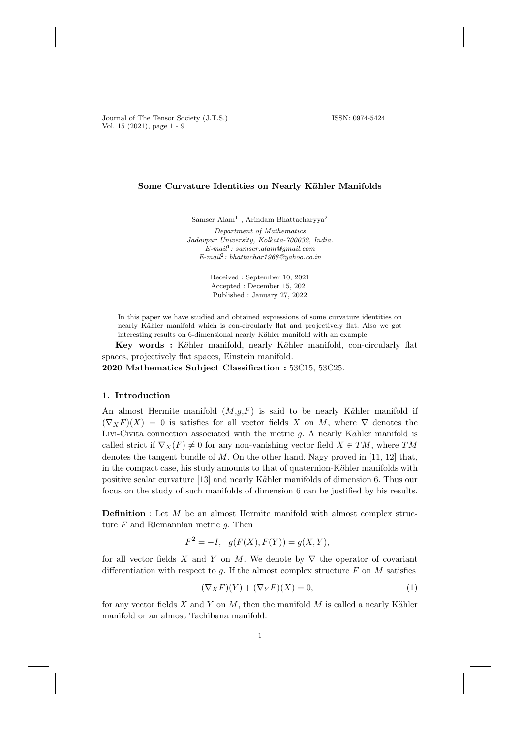Journal of The Tensor Society (J.T.S.) ISSN: 0974-5424 Vol. 15 (2021), page 1 - 9

### Some Curvature Identities on Nearly Kähler Manifolds

Samser Alam<sup>1</sup>, Arindam Bhattacharyya<sup>2</sup>

Department of Mathematics Jadavpur University, Kolkata-700032, India.  $E-mail: \,samer. \,alam\mathcal{Q}gmail.com$ E-mail<sup>2</sup> : bhattachar1968@yahoo.co.in

> Received : September 10, 2021 Accepted : December 15, 2021 Published : January 27, 2022

In this paper we have studied and obtained expressions of some curvature identities on nearly Kähler manifold which is con-circularly flat and projectively flat. Also we got interesting results on 6-dimensional nearly Kähler manifold with an example.

Key words : Kähler manifold, nearly Kähler manifold, con-circularly flat spaces, projectively flat spaces, Einstein manifold.

2020 Mathematics Subject Classification : 53C15, 53C25.

#### 1. Introduction

An almost Hermite manifold  $(M,g, F)$  is said to be nearly Kähler manifold if  $(\nabla_X F)(X) = 0$  is satisfies for all vector fields X on M, where  $\nabla$  denotes the Livi-Civita connection associated with the metric  $g$ . A nearly Kähler manifold is called strict if  $\nabla_X(F) \neq 0$  for any non-vanishing vector field  $X \in TM$ , where TM denotes the tangent bundle of  $M$ . On the other hand, Nagy proved in [11, 12] that, in the compact case, his study amounts to that of quaternion-Kähler manifolds with positive scalar curvature [13] and nearly K¨ahler manifolds of dimension 6. Thus our focus on the study of such manifolds of dimension 6 can be justified by his results.

**Definition** : Let  $M$  be an almost Hermite manifold with almost complex structure  $F$  and Riemannian metric  $g$ . Then

$$
F^2 = -I, \quad g(F(X), F(Y)) = g(X, Y),
$$

for all vector fields X and Y on M. We denote by  $\nabla$  the operator of covariant differentiation with respect to q. If the almost complex structure  $F$  on  $M$  satisfies

$$
(\nabla_X F)(Y) + (\nabla_Y F)(X) = 0,\t(1)
$$

for any vector fields  $X$  and  $Y$  on  $M$ , then the manifold  $M$  is called a nearly Kähler manifold or an almost Tachibana manifold.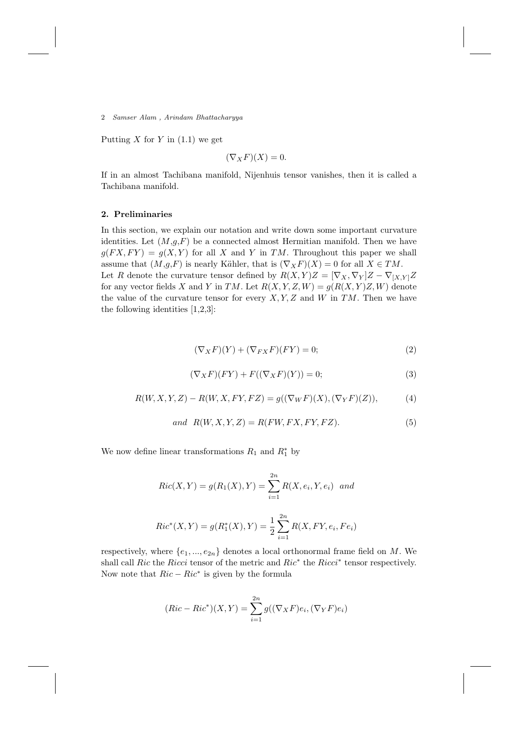Putting X for Y in  $(1.1)$  we get

$$
(\nabla_X F)(X) = 0.
$$

If in an almost Tachibana manifold, Nijenhuis tensor vanishes, then it is called a Tachibana manifold.

## 2. Preliminaries

In this section, we explain our notation and write down some important curvature identities. Let  $(M,g,F)$  be a connected almost Hermitian manifold. Then we have  $g(FX, FY) = g(X, Y)$  for all X and Y in TM. Throughout this paper we shall assume that  $(M,g,F)$  is nearly Kähler, that is  $(\nabla_X F)(X) = 0$  for all  $X \in TM$ . Let R denote the curvature tensor defined by  $R(X,Y)Z = [\nabla_X, \nabla_Y]Z - \nabla_{[X,Y]}Z$ for any vector fields X and Y in TM. Let  $R(X, Y, Z, W) = g(R(X, Y)Z, W)$  denote the value of the curvature tensor for every  $X, Y, Z$  and W in TM. Then we have the following identities [1,2,3]:

$$
(\nabla_X F)(Y) + (\nabla_{FX} F)(FY) = 0;
$$
\n(2)

$$
(\nabla_X F)(FY) + F((\nabla_X F)(Y)) = 0;
$$
\n(3)

$$
R(W, X, Y, Z) - R(W, X, FY, FZ) = g((\nabla_W F)(X), (\nabla_Y F)(Z)),
$$
 (4)

$$
and R(W, X, Y, Z) = R(FW, FX, FY, FZ). \tag{5}
$$

We now define linear transformations  $R_1$  and  $R_1^*$  by

$$
Ric(X, Y) = g(R_1(X), Y) = \sum_{i=1}^{2n} R(X, e_i, Y, e_i) \text{ and}
$$
  

$$
Ric^*(X, Y) = g(R_1^*(X), Y) = \frac{1}{2} \sum_{i=1}^{2n} R(X, FY, e_i, Fe_i)
$$

respectively, where  $\{e_1, ..., e_{2n}\}\$  denotes a local orthonormal frame field on M. We shall call Ric the Ricci tensor of the metric and  $Ric^*$  the  $Ricci^*$  tensor respectively. Now note that  $Ric - Ric^*$  is given by the formula

$$
(Ric - Ric^*)(X, Y) = \sum_{i=1}^{2n} g((\nabla_X F)e_i, (\nabla_Y F)e_i)
$$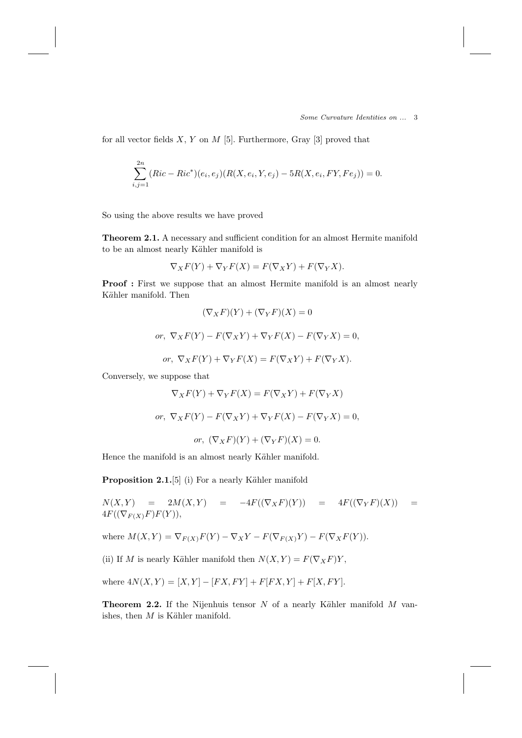Some Curvature Identities on ... 3

for all vector fields  $X, Y$  on  $M$  [5]. Furthermore, Gray [3] proved that

$$
\sum_{i,j=1}^{2n} (Ric - Ric^*)(e_i, e_j)(R(X, e_i, Y, e_j) - 5R(X, e_i, FY, Fe_j)) = 0.
$$

So using the above results we have proved

Theorem 2.1. A necessary and sufficient condition for an almost Hermite manifold to be an almost nearly Kähler manifold is

$$
\nabla_X F(Y) + \nabla_Y F(X) = F(\nabla_X Y) + F(\nabla_Y X).
$$

Proof : First we suppose that an almost Hermite manifold is an almost nearly Kähler manifold. Then

$$
(\nabla_X F)(Y) + (\nabla_Y F)(X) = 0
$$
  
or,  $\nabla_X F(Y) - F(\nabla_X Y) + \nabla_Y F(X) - F(\nabla_Y X) = 0$ ,  
or,  $\nabla_X F(Y) + \nabla_Y F(X) = F(\nabla_X Y) + F(\nabla_Y X)$ .

Conversely, we suppose that

$$
\nabla_X F(Y) + \nabla_Y F(X) = F(\nabla_X Y) + F(\nabla_Y X)
$$
  
*or,* 
$$
\nabla_X F(Y) - F(\nabla_X Y) + \nabla_Y F(X) - F(\nabla_Y X) = 0,
$$
*or,* 
$$
(\nabla_X F)(Y) + (\nabla_Y F)(X) = 0.
$$
  
Hence the manifold is an almost nearly Kähler manifold.

**Proposition 2.1.**[5] (i) For a nearly Kähler manifold

 $N(X,Y)$  =  $2M(X,Y)$  =  $-4F((\nabla_X F)(Y))$  =  $4F((\nabla_Y F)(X))$  =  $4F((\nabla_{F(X)}F)F(Y)),$ 

where 
$$
M(X, Y) = \nabla_{F(X)} F(Y) - \nabla_X Y - F(\nabla_{F(X)} Y) - F(\nabla_X F(Y)).
$$

(ii) If M is nearly Kähler manifold then  $N(X, Y) = F(\nabla_X F)Y$ ,

where  $4N(X, Y) = [X, Y] - [FX, FY] + F[FX, Y] + F[X, FY].$ 

**Theorem 2.2.** If the Nijenhuis tensor  $N$  of a nearly Kähler manifold  $M$  vanishes, then  $M$  is Kähler manifold.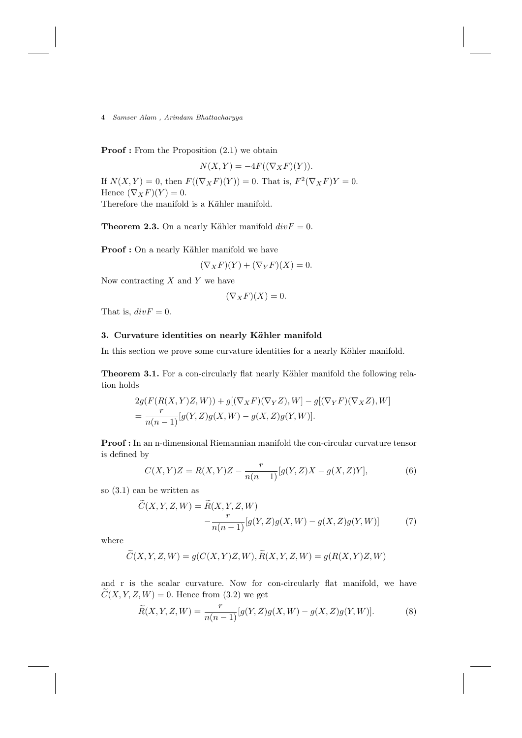**Proof**: From the Proposition  $(2.1)$  we obtain

 $N(X, Y) = -4F((\nabla_X F)(Y)).$ If  $N(X,Y) = 0$ , then  $F((\nabla_X F)(Y)) = 0$ . That is,  $F^2(\nabla_X F)Y = 0$ . Hence  $(\nabla_X F)(Y) = 0$ .

Therefore the manifold is a Kähler manifold.

**Theorem 2.3.** On a nearly Kähler manifold  $div F = 0$ .

Proof : On a nearly Kähler manifold we have

$$
(\nabla_X F)(Y) + (\nabla_Y F)(X) = 0.
$$

Now contracting  $X$  and  $Y$  we have

$$
(\nabla_X F)(X) = 0.
$$

That is,  $div F = 0$ .

# 3. Curvature identities on nearly Kähler manifold

In this section we prove some curvature identities for a nearly Kähler manifold.

Theorem 3.1. For a con-circularly flat nearly Kähler manifold the following relation holds

$$
2g(F(R(X, Y)Z, W)) + g[(\nabla_X F)(\nabla_Y Z), W] - g[(\nabla_Y F)(\nabla_X Z), W]
$$
  
= 
$$
\frac{r}{n(n-1)}[g(Y, Z)g(X, W) - g(X, Z)g(Y, W)].
$$

Proof : In an n-dimensional Riemannian manifold the con-circular curvature tensor is defined by

$$
C(X,Y)Z = R(X,Y)Z - \frac{r}{n(n-1)}[g(Y,Z)X - g(X,Z)Y],
$$
\n(6)

so (3.1) can be written as

$$
\widetilde{C}(X,Y,Z,W) = \widetilde{R}(X,Y,Z,W) - \frac{r}{n(n-1)}[g(Y,Z)g(X,W) - g(X,Z)g(Y,W)] \tag{7}
$$

where

$$
\widetilde{C}(X,Y,Z,W) = g(C(X,Y)Z,W), \widetilde{R}(X,Y,Z,W) = g(R(X,Y)Z,W)
$$

and r is the scalar curvature. Now for con-circularly flat manifold, we have  $C(X, Y, Z, W) = 0$ . Hence from (3.2) we get

$$
\widetilde{R}(X, Y, Z, W) = \frac{r}{n(n-1)} [g(Y, Z)g(X, W) - g(X, Z)g(Y, W)].
$$
\n(8)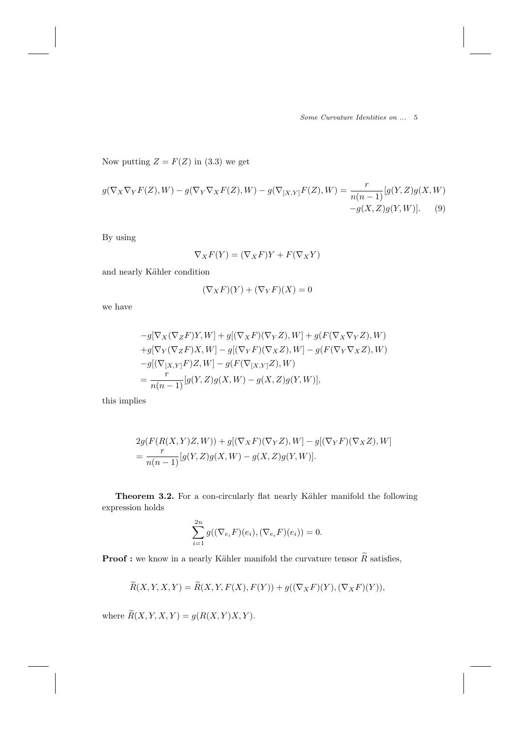Some Curvature Identities on ... 5

Now putting  $Z = F(Z)$  in (3.3) we get

$$
g(\nabla_X \nabla_Y F(Z), W) - g(\nabla_Y \nabla_X F(Z), W) - g(\nabla_{[X,Y]} F(Z), W) = \frac{r}{n(n-1)} [g(Y, Z)g(X, W) - g(X, Z)g(Y, W)].
$$
\n(9)

By using

$$
\nabla_X F(Y) = (\nabla_X F)Y + F(\nabla_X Y)
$$

and nearly Kähler condition

$$
(\nabla_X F)(Y) + (\nabla_Y F)(X) = 0
$$

we have

$$
-g[\nabla_X(\nabla_Z F)Y, W] + g[(\nabla_X F)(\nabla_Y Z), W] + g(F(\nabla_X \nabla_Y Z), W)
$$
  
+
$$
g[\nabla_Y(\nabla_Z F)X, W] - g[(\nabla_Y F)(\nabla_X Z), W] - g(F(\nabla_Y \nabla_X Z), W)
$$
  

$$
-g[(\nabla_{[X,Y]} F)Z, W] - g(F(\nabla_{[X,Y]} Z), W)
$$
  

$$
= \frac{r}{n(n-1)}[g(Y, Z)g(X, W) - g(X, Z)g(Y, W)],
$$

this implies

$$
2g(F(R(X, Y)Z, W)) + g[(\nabla_X F)(\nabla_Y Z), W] - g[(\nabla_Y F)(\nabla_X Z), W]
$$
  
= 
$$
\frac{r}{n(n-1)}[g(Y, Z)g(X, W) - g(X, Z)g(Y, W)].
$$

Theorem 3.2. For a con-circularly flat nearly Kähler manifold the following expression holds

$$
\sum_{i=1}^{2n} g((\nabla_{e_i} F)(e_i), (\nabla_{e_i} F)(e_i)) = 0.
$$

**Proof :** we know in a nearly Kähler manifold the curvature tensor  $\widetilde{R}$  satisfies,

$$
\widetilde{R}(X,Y,X,Y) = \widetilde{R}(X,Y,F(X),F(Y)) + g((\nabla_X F)(Y),(\nabla_X F)(Y)),
$$

where  $\widetilde{R}(X, Y, X, Y) = g(R(X, Y)X, Y)$ .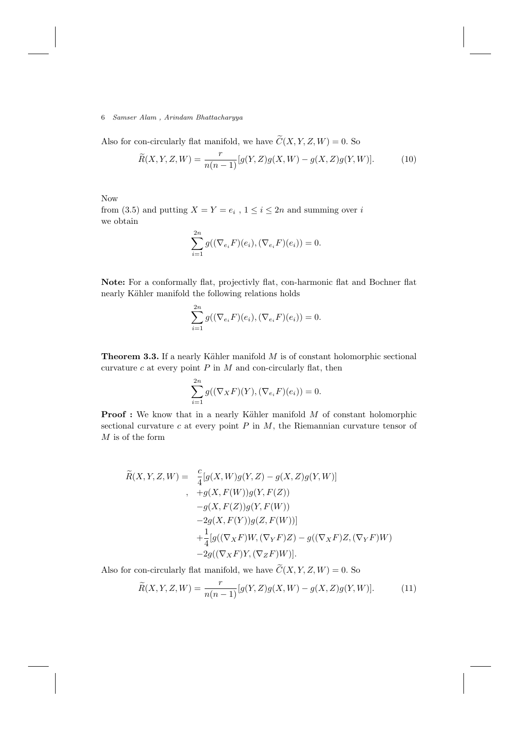Also for con-circularly flat manifold, we have  $\widetilde{C}(X, Y, Z, W) = 0$ . So

$$
\widetilde{R}(X,Y,Z,W) = \frac{r}{n(n-1)}[g(Y,Z)g(X,W) - g(X,Z)g(Y,W)].
$$
\n(10)

Now from (3.5) and putting  $X = Y = e_i$ ,  $1 \le i \le 2n$  and summing over i we obtain

$$
\sum_{i=1}^{2n} g((\nabla_{e_i} F)(e_i), (\nabla_{e_i} F)(e_i)) = 0.
$$

Note: For a conformally flat, projectivly flat, con-harmonic flat and Bochner flat nearly Kähler manifold the following relations holds

$$
\sum_{i=1}^{2n} g((\nabla_{e_i} F)(e_i), (\nabla_{e_i} F)(e_i)) = 0.
$$

**Theorem 3.3.** If a nearly Kähler manifold  $M$  is of constant holomorphic sectional curvature  $c$  at every point  $P$  in  $M$  and con-circularly flat, then

$$
\sum_{i=1}^{2n} g((\nabla_X F)(Y), (\nabla_{e_i} F)(e_i)) = 0.
$$

**Proof :** We know that in a nearly Kähler manifold  $M$  of constant holomorphic sectional curvature  $c$  at every point  $P$  in  $M$ , the Riemannian curvature tensor of  $M$  is of the form

$$
\widetilde{R}(X,Y,Z,W) = \frac{c}{4} [g(X,W)g(Y,Z) - g(X,Z)g(Y,W)]
$$
\n
$$
+ g(X,F(W))g(Y,F(Z))
$$
\n
$$
-g(X,F(Z))g(Y,F(W))
$$
\n
$$
-2g(X,F(Y))g(Z,F(W))]
$$
\n
$$
+\frac{1}{4}[g((\nabla_X F)W,(\nabla_Y F)Z) - g((\nabla_X F)Z,(\nabla_Y F)W) -2g((\nabla_X F)Y,(\nabla_Z F)W)].
$$

Also for con-circularly flat manifold, we have  $\widetilde{C}(X, Y, Z, W) = 0$ . So

$$
\widetilde{R}(X,Y,Z,W) = \frac{r}{n(n-1)}[g(Y,Z)g(X,W) - g(X,Z)g(Y,W)].
$$
\n(11)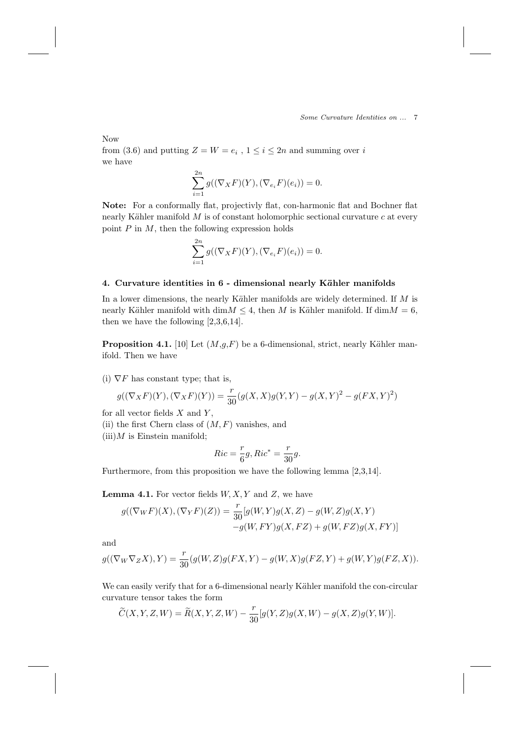Now

from (3.6) and putting  $Z = W = e_i$ ,  $1 \le i \le 2n$  and summing over i we have

$$
\sum_{i=1}^{2n} g((\nabla_X F)(Y), (\nabla_{e_i} F)(e_i)) = 0.
$$

Note: For a conformally flat, projectivly flat, con-harmonic flat and Bochner flat nearly Kähler manifold  $M$  is of constant holomorphic sectional curvature  $c$  at every point  $P$  in  $M$ , then the following expression holds

$$
\sum_{i=1}^{2n} g((\nabla_X F)(Y), (\nabla_{e_i} F)(e_i)) = 0.
$$

# 4. Curvature identities in 6 - dimensional nearly Kähler manifolds

In a lower dimensions, the nearly Kähler manifolds are widely determined. If  $M$  is nearly Kähler manifold with dim $M \leq 4$ , then M is Kähler manifold. If dim $M = 6$ , then we have the following [2,3,6,14].

**Proposition 4.1.** [10] Let  $(M,g,F)$  be a 6-dimensional, strict, nearly Kähler manifold. Then we have

(i)  $\nabla F$  has constant type; that is,

$$
g((\nabla_X F)(Y),(\nabla_X F)(Y)) = \frac{r}{30}(g(X,X)g(Y,Y) - g(X,Y)^2 - g(FX,Y)^2)
$$

for all vector fields  $X$  and  $Y$ ,

(ii) the first Chern class of  $(M, F)$  vanishes, and

 $(iii)$ *M* is Einstein manifold;

$$
Ric = \frac{r}{6}g, Ric^* = \frac{r}{30}g.
$$

Furthermore, from this proposition we have the following lemma [2,3,14].

**Lemma 4.1.** For vector fields  $W, X, Y$  and  $Z$ , we have

$$
g((\nabla_W F)(X), (\nabla_Y F)(Z)) = \frac{r}{30} [g(W, Y)g(X, Z) - g(W, Z)g(X, Y) - g(W, FY)g(X, FZ) + g(W, FZ)g(X, FY)]
$$

and

$$
g((\nabla_W\nabla_Z X), Y) = \frac{r}{30}(g(W, Z)g(FX, Y) - g(W, X)g(FZ, Y) + g(W, Y)g(FZ, X)).
$$

We can easily verify that for a 6-dimensional nearly Kähler manifold the con-circular curvature tensor takes the form

 $\widetilde{C}(X, Y, Z, W) = \widetilde{R}(X, Y, Z, W) - \frac{r}{30}$  $\frac{1}{30}[g(Y,Z)g(X,W)-g(X,Z)g(Y,W)].$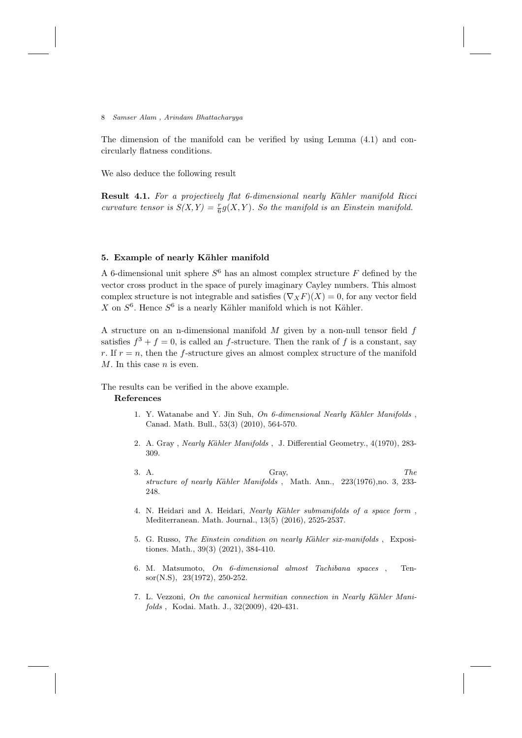The dimension of the manifold can be verified by using Lemma (4.1) and concircularly flatness conditions.

We also deduce the following result

**Result 4.1.** For a projectively flat 6-dimensional nearly Kähler manifold Ricci curvature tensor is  $S(X,Y) = \frac{r}{6}g(X,Y)$ . So the manifold is an Einstein manifold.

## 5. Example of nearly Kähler manifold

A 6-dimensional unit sphere  $S^6$  has an almost complex structure  $F$  defined by the vector cross product in the space of purely imaginary Cayley numbers. This almost complex structure is not integrable and satisfies  $(\nabla_X F)(X) = 0$ , for any vector field X on  $S^6$ . Hence  $S^6$  is a nearly Kähler manifold which is not Kähler.

A structure on an n-dimensional manifold  $M$  given by a non-null tensor field  $f$ satisfies  $f^3 + f = 0$ , is called an f-structure. Then the rank of f is a constant, say r. If  $r = n$ , then the f-structure gives an almost complex structure of the manifold  $M$ . In this case  $n$  is even.

The results can be verified in the above example.

# References

- 1. Y. Watanabe and Y. Jin Suh, On 6-dimensional Nearly Kähler Manifolds, Canad. Math. Bull., 53(3) (2010), 564-570.
- 2. A. Gray, Nearly Kähler Manifolds, J. Differential Geometry., 4(1970), 283-309.
- 3. A. Gray,  $\qquad \qquad$  The structure of nearly Kähler Manifolds, Math. Ann., 223(1976),no. 3, 233-248.
- 4. N. Heidari and A. Heidari, Nearly Kähler submanifolds of a space form, Mediterranean. Math. Journal., 13(5) (2016), 2525-2537.
- 5. G. Russo, The Einstein condition on nearly Kähler six-manifolds, Expositiones. Math., 39(3) (2021), 384-410.
- 6. M. Matsumoto, On 6-dimensional almost Tachibana spaces , Tensor(N.S), 23(1972), 250-252.
- 7. L. Vezzoni, On the canonical hermitian connection in Nearly Kähler Manifolds , Kodai. Math. J., 32(2009), 420-431.